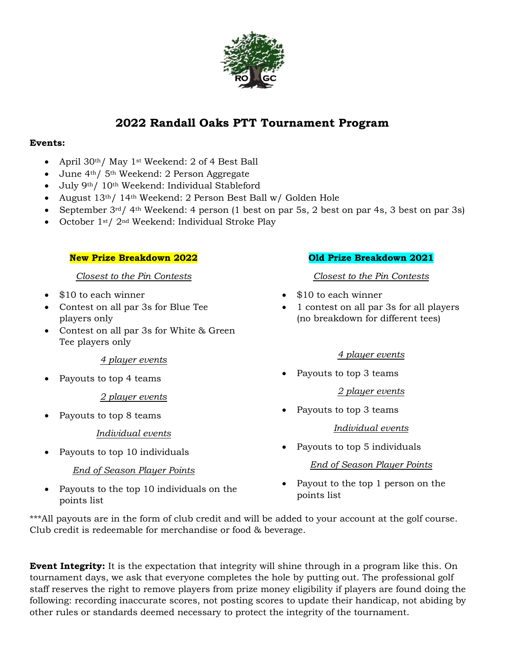

# **2022 Randall Oaks PTT Tournament Program**

#### **Events:**

- April 30th/ May 1st Weekend: 2 of 4 Best Ball
- June 4th/ 5th Weekend: 2 Person Aggregate
- July 9th/ 10th Weekend: Individual Stableford
- August 13th/ 14th Weekend: 2 Person Best Ball w/ Golden Hole
- September 3rd/ 4th Weekend: 4 person (1 best on par 5s, 2 best on par 4s, 3 best on par 3s)
- October 1st/ 2nd Weekend: Individual Stroke Play

#### **New Prize Breakdown 2022**

#### *Closest to the Pin Contests*

- \$10 to each winner
- Contest on all par 3s for Blue Tee players only
- Contest on all par 3s for White & Green Tee players only

#### *4 player events*

Payouts to top 4 teams

## *2 player events*

Payouts to top 8 teams

#### *Individual events*

Payouts to top 10 individuals

## *End of Season Player Points*

 Payouts to the top 10 individuals on the points list

#### **Old Prize Breakdown 2021**

### *Closest to the Pin Contests*

- \$10 to each winner
- 1 contest on all par 3s for all players (no breakdown for different tees)

#### *4 player events*

• Payouts to top 3 teams

#### *2 player events*

Payouts to top 3 teams

#### *Individual events*

Payouts to top 5 individuals

#### *End of Season Player Points*

 Payout to the top 1 person on the points list

\*\*\*All payouts are in the form of club credit and will be added to your account at the golf course. Club credit is redeemable for merchandise or food & beverage.

**Event Integrity:** It is the expectation that integrity will shine through in a program like this. On tournament days, we ask that everyone completes the hole by putting out. The professional golf staff reserves the right to remove players from prize money eligibility if players are found doing the following: recording inaccurate scores, not posting scores to update their handicap, not abiding by other rules or standards deemed necessary to protect the integrity of the tournament.